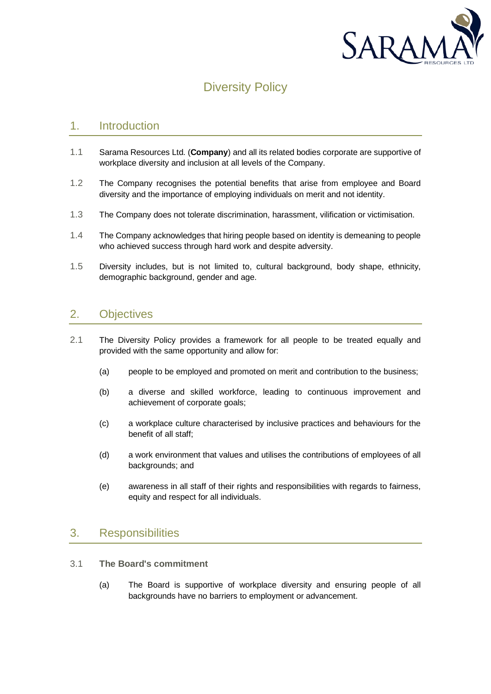

# Diversity Policy

### 1. Introduction

- 1.1 Sarama Resources Ltd. (**Company**) and all its related bodies corporate are supportive of workplace diversity and inclusion at all levels of the Company.
- 1.2 The Company recognises the potential benefits that arise from employee and Board diversity and the importance of employing individuals on merit and not identity.
- 1.3 The Company does not tolerate discrimination, harassment, vilification or victimisation.
- 1.4 The Company acknowledges that hiring people based on identity is demeaning to people who achieved success through hard work and despite adversity.
- 1.5 Diversity includes, but is not limited to, cultural background, body shape, ethnicity, demographic background, gender and age.

## 2. Objectives

- 2.1 The Diversity Policy provides a framework for all people to be treated equally and provided with the same opportunity and allow for:
	- (a) people to be employed and promoted on merit and contribution to the business;
	- (b) a diverse and skilled workforce, leading to continuous improvement and achievement of corporate goals;
	- (c) a workplace culture characterised by inclusive practices and behaviours for the benefit of all staff;
	- (d) a work environment that values and utilises the contributions of employees of all backgrounds; and
	- (e) awareness in all staff of their rights and responsibilities with regards to fairness, equity and respect for all individuals.

#### 3. Responsibilities

- 3.1 **The Board's commitment**
	- (a) The Board is supportive of workplace diversity and ensuring people of all backgrounds have no barriers to employment or advancement.